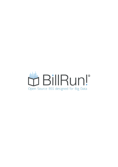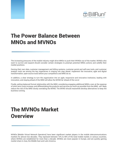

## The Power Balance Between MNOs and MVNOs

The increasing pressures of the mobile industry might drive MNOs to push their MVNOs out of the market. MVNOs who want to survive and expand should consider certain strategies to preempt potential MNOs actions and solidify their market positions.

Owning their own data, customer management and billing systems, customer portal and self-care tools, and customer analytic tools are among the key imperatives in staying one step ahead. Implement the innovative, agile and digital transformation, open-source tools before your competitors and MNO do so.

In addition, a clear strategy to turn the organization into an agile, responsive and innovative institution, leading with innovation, and staying ahead of the MNO will allow the MVNO be 'ahead of the curve'.

Finally, setting balanced formal relationship with the MNO, considering engaging additional MNOs, even at the expense of short term costs increase, and differentiating the products and services as much as possible from the MNO, will likely reduce the risk of the MNO slowly overtaking the MVNO. The MVNO should meanwhile develop alternatives to keep the business running.

## The MVNOs Market **Overview**

MVNOs [Mobile Virtual Network Operators] have been significant market players in the mobile telecommunications markets for almost two decades. They represent between 10% to 40% of the total mobile market, in various countries, where MVNOs are established for more than a decade. MVNOs are most popular in Europe, and are quickly gaining market share in Asia, the Middle East and Latin America.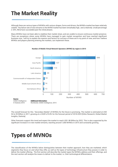# The Market Reality

Although there are various types of MVNOs with various shapes, forms and drivers, the MVNOs market has been relatively volatile. The failure rate of new entrants to the MVNO market has been remarkably high, and a relatively small percentage [~20%, NEC] have succeeded past the initial phases.

Many MVNOs have not been able to stabilize their market share, and are unable to ensure continuous market presence. There are exceptions where some MVNOs have managed to gain market recognition and have reached significant business size. I will try to explain the reasons and factors for success of these are in my point of view, and how I believe MVNOs and players planning entering the markets, can implement these.



#### Number of Mobile Virtual Network Operators (MVNO) by region in 2015

The overall forecast for this 'Secondary Market' of MVNOs for the future is promising. The market is estimated at USD 54 to 55 Billion in 2017, growing at a CAGR of 8.8% for the forecast period of 2018-2023 [Orbis Research, Global Market Insights, Statista].

Other forecasts support this trend and expect the market to reach USD 88 Billion by 2022. This is also supported by the significant increase in in new market entrants, reaching around 1,000 MVNOs in 2015 and constantly growing.

# Types of MVNOs

The classification of the MVNOs below distinguishes between their market approach, how they are marketed, which segments they focus on and what they offer, as well as the types of technology infrastructure they posses in order to deliver the market offering. The first section will describe the market types the MVNOs address and their offerings, and the next section will analyze the means to deliver to the market, i.e. their technological differentiators.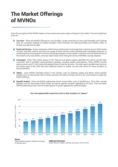# The Market Offerings of MVNOs

Since the emergence of the MVNO market, we have witnessed various types of players in the market. The most significant ones are:

- **Low Cost** These are MVNOs offering low cost bundles, usually consisting of voice and messages with minimal data, for customers looking for budget packages. Other examples are roaming bundles and travelers offers of limited, pre-paid time bundles.
- **Retail and Services** Certain companies which have a market presence leverage their customer base to offer mobile services, and offer credit or discounts for usage of these services while purchasing the companies' products, or combining the communications services with loyalty programs of the retailer. In the first wave of MVNO entries to the market in the early 2000's, some key retail chains were among the drivers of MVNOs concept adoption.
- Convergent Many 'Non-mobile' players in the Telecom and Media markets identified the need to provide their customers with a complete communications package, including mobile subscriptions. These MVNOs provide prime contents and TV, VoD, Internet Broadband and/or fixed line services. The clear need to bundle these services and offset some of the shift from the traditional means to mobile, are the main driver for these providers to become MVNOs.
- **T** 'Ethnic' some MVNOs identified niches in the markets, such as migrants, expats and others, where specific benefits such as discounted calls to home countries and others are key and drive the communities to adopt the MVNO offerings.
- **Specific Content** There are MVNOs addressing certain communities such as football fans. Their offers include benefits such as discounted match tickets as well as specific contents appealing to the fans. There are other MVNOs addressing music fans of certain genres or bands, applying the same principles.



#### Size of the global MVNO market from 2012 to 2022 (In billion U.S. dollars)\*

#### Source

Global Market Insights; Statista estimates © Statista 2018

Additional Information: Global Market Insights; Statista estimates; 2012 to 2016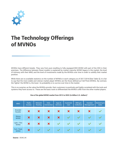

# The Technology Offerings of MVNOs

MVNOs have different breeds. They vary from pure reselling to fully equipped BSS MVNO with part of the OSS in their premises. The difference between these models is explained by market maturity, MVNO legacy in the market, the level of intimacy with their MNO, and the level of investments made by the MVNOs over time in order to solidify their market position.

While there are no available statistics on the number of MVNOs in each category as of 2017/2018 [See Table 3], it is fair to say that the more stable and veteran market player MVNOs are the those defined as Full/Thick MVNOs. By contrast, the 'lighter' the MVNO is, the lower its probability is to survive over time in the market.

This is no surprise, as the value the MVNOs provide their customers is positively and highly correlated with the tools and systems they have access to. These are the basic tools to differentiate the MVNO's offer from the other market players.

| <b>MNO</b>                   | Radio<br><b>Access</b>    | <b>Network</b><br>Routing | Inter-<br>Connection      | Apps &<br><b>Services</b> | <b>Customer</b><br>Care | <b>Billing &amp;</b><br><b>Collection</b> | Handset<br>Management | Marketing &<br><b>Sales</b> |
|------------------------------|---------------------------|---------------------------|---------------------------|---------------------------|-------------------------|-------------------------------------------|-----------------------|-----------------------------|
| <b>Branded</b><br>Reseller   | X                         | X                         | $\bm{x}$                  | X                         | X                       | X                                         | X                     |                             |
| <b>Skinny</b><br><b>MVNO</b> | $\boldsymbol{\mathsf{x}}$ | $\boldsymbol{\mathsf{X}}$ | $\boldsymbol{\mathsf{x}}$ | X                         | <b>SILLER</b>           | $\sqrt{2}$                                |                       |                             |
| Light / Thin<br><b>MVNO</b>  | X                         | X                         | $\boldsymbol{\mathsf{x}}$ | $\checkmark$              | <b>SILLER</b>           | $\checkmark$                              | $\blacktriangledown$  |                             |
| Full / Thick<br><b>MVNO</b>  | $\bm{x}$                  | V                         | <b>SILLER</b>             | $\blacktriangledown$      | $\blacktriangledown$    | $\blacktriangledown$                      | $\blacktriangledown$  |                             |

#### Size of the global MVNO market from 2012 to 2022 (In billion U.S. dollars)\*

Source : 3G4G.UK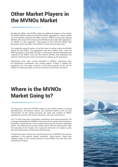## Other Market Players in the MVNOs Market

Besides the MNOs and MVNOs, there are additional players in the market, the MVNEs [MVN Enablers] and MVNAs [MVN Aggregators]. These entities are intermediate, between the MNOs and the MVNOs and provide starting MVNOs with most of the infrastructure MVNOs need to start their operations, an 'MVNO in a Box' approach. They equate to the Full/Thick MVNO type described above and allow new MVNOs use the services they need.

This approach gained traction in the first wave of market entries by MVNOs during the late 2000's. The aggregators did fill a market need - from the MNO perspective, they filled the gap in utilizing the unused bandwidth and capacity of the MNOs. From the new entrant MVNOs, they addressed the need for minimizing the initial investments in setting up the operations.

Regulations have been overall favorable to MVNOs, perceiving them as competition accelerators and change agents. Europe is leading the regulations but the larger countries in Asia have opened up the tap for MVNOs in China and India, as well as in the rest of the Asian continent.

# Where is the MVNOs Market Going to?

The discussion about the MVNOs market as one unified market is a broad generalization, and ignores various very important factors such as local environment of the overall economy, the state and number of MNOs, regulations, maturity and market saturation and many more factors.

Yet, it is clear that given intensifying competition and market pressures, the strategies adopted by the MVNOs in the past will not sustain their business in the [near or distant] future. This is mainly referring to the 'low price' approach and/or the addressing of certain market niches with low end services. With the maturing of the markets, the customers demand is for higher quality services and products, while prices still decrease.

Furthermore, there are few key common factors for all MVNOs that emerge, regardless of the specific market conditions. These factors might have variable impact on the overall business of the MVNOs, but with time their importance will grow.

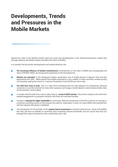# Developments, Trends and Pressures in the Mobile Markets

Beyond the state of the MVNOs market, there are some key developments in the Telecommunications market that strongly influence the MVNO market and effect the future of MVNOs.

In a nutshell, the key trends, developments and market behaviors are:

- The increasing influence of handset manufacturers, smartphones, on the roles of MNOs and consequently, the **I** roles of MVNOs. MNOs are losing brand supremacy to the manufacturers.
- Markets are saturated. In the developed markets, penetration rate of mobile phones is beyond 120% and fast approaching the 150%. MNOs growth from higher penetration is very unlikely. In these countries, number porting is increasing, making the return on Customer Acquisition Costs [CAC] even more risky.
- The shift from Voice to Data. This is a clear trend correlating with the wide adoption of smartphones, allowing **The State** customers to use their phones for many other purposes and usages, mostly based on data streams [video clips, social networks, various apps].
- In tandem with the shift from voice to data, there is a trend of ARPU decline. This trend is related to the shift from prepaid engagements to postpaid contracts with fixed and unlimited bundles.
- Increase in demand for higher bandwidth by customers. With the introduction of AR/VR as well as an increase in H. customers watching movies on their phones, the need for 'wider pipes' is clear. For many MNOs who reached their network capacity, this poses a challenge.
- The introduction of LTE and later, of 5G, requires heavy investments in network infrastructure. Some of the MNOs fear they will have no benefits or incentives from increasing network bandwidth, and are unsure that they can leverage their heavy investments with a worthwhile return rate.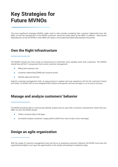# Key Strategies for Future MVNOs

The most significant strategies MVNOs might need to take includes insulating their customer relationship from the MNO, so that the management of the MVNO customers cannot be easily taken by the MNO. In addition, reducing the dependencies of the the MVNO in their MNO will create a more balanced relationship between the parties.

## Own the Right Infrastructure

The MVNOs should over time create an infrastructure to hold their most valuable asset, their customers. The MVNOs should have all the IT components that involve customer management:

- $\bullet$ Billing and customer care
- Customer relationship [CRM] and customer portal  $\blacksquare$
- Specific apps and services  $\bullet$

Superior customer management tools, an easy process to register and user experience will win the customers' hearts and minds. An MVNO with its own integrated BSS solution and specific services and apps, is on its way to success.

### Manage and analyze customers' behavior

The MVNO should be able to continuously identify, analyze and act upon their customers' requirements, faster than any MNO. For this, the MVNO should:

- Collect customer data of all types.
- Constantly analyze customers' usage patterns [shift from voice to data, churn warnings].

### Design an agile organization

With the usage of customer management tools and focus on analyzing customers' behavior, the MVNO must have the organizational agility to act upon the opportunities in the market and preempt competitive steps.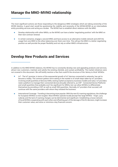### Manage the MNO-MVNO relationship

The most significant actions are those responding to the dangerous MNO strategies which are taking ownership of the MVNO destiny. A good start would be questioning the viability and necessity of the MVNA/MVNE as an intermediate entity providing services and acting as a broker. The MVNO has to establish direct relations with the MNO:

- Develop relationship with other MNOs, so the MVNO can have a better 'negotiating position' with the MNO on their next contract renewal.
- In certain scenarios, engage a second MNO, and have access to an alternative mobile network and shift the usage from one MNO to the other, balancing over them over time. This will put the MNO in a better negotiating position as well provide the proper flexibility and not rely on either MNO's infrastructure.

## Develop New Products and Services

In addition to the MNO-MVNO relations, the MVNO has to constantly develop new and appealing products and services, attract new customers, maintain and satisfy the existing clientele, and sustain profitability. The market initiatives were not covered in this document. We will briefly mention a few that could fit the structure of the 'skinny to thick' MVNOs:

- IoT The IoT promise, in terms of the exponential growth of IoT devices connected to networks, has yet to become a reality. The common pattern we're seeing in the market is of small steps taken by IoT providers, involving small quantities of devices/SIMs, testing market acceptance, business models and value. IoT providers need a platform to manage their connected devices [Usually referred to, as CDP - Connected Device Platform] and small quantities that probably won't be significant for MNOs, but can allow MVNOs to differentiate themselves by providing a CDP as well as small SIM quantities. Normally, IoT providers that succeed, will continue with the same providers with whom they initiated the business.
- International Coverage Traveling is becoming more popular. With the new EU roaming regulations, the challenge for European MVNOs is even tougher. Most MVNOs operate locally [except few large MVNOs - Virgin, Lyca, Lebera], and the lack of roaming charges can be detrimental and significant. Establishing a loose network of local MVNOs cooperating with each other and offsetting part of the damage of the EU decision, might increase their customer value, and solve or minimize a key financial concern.